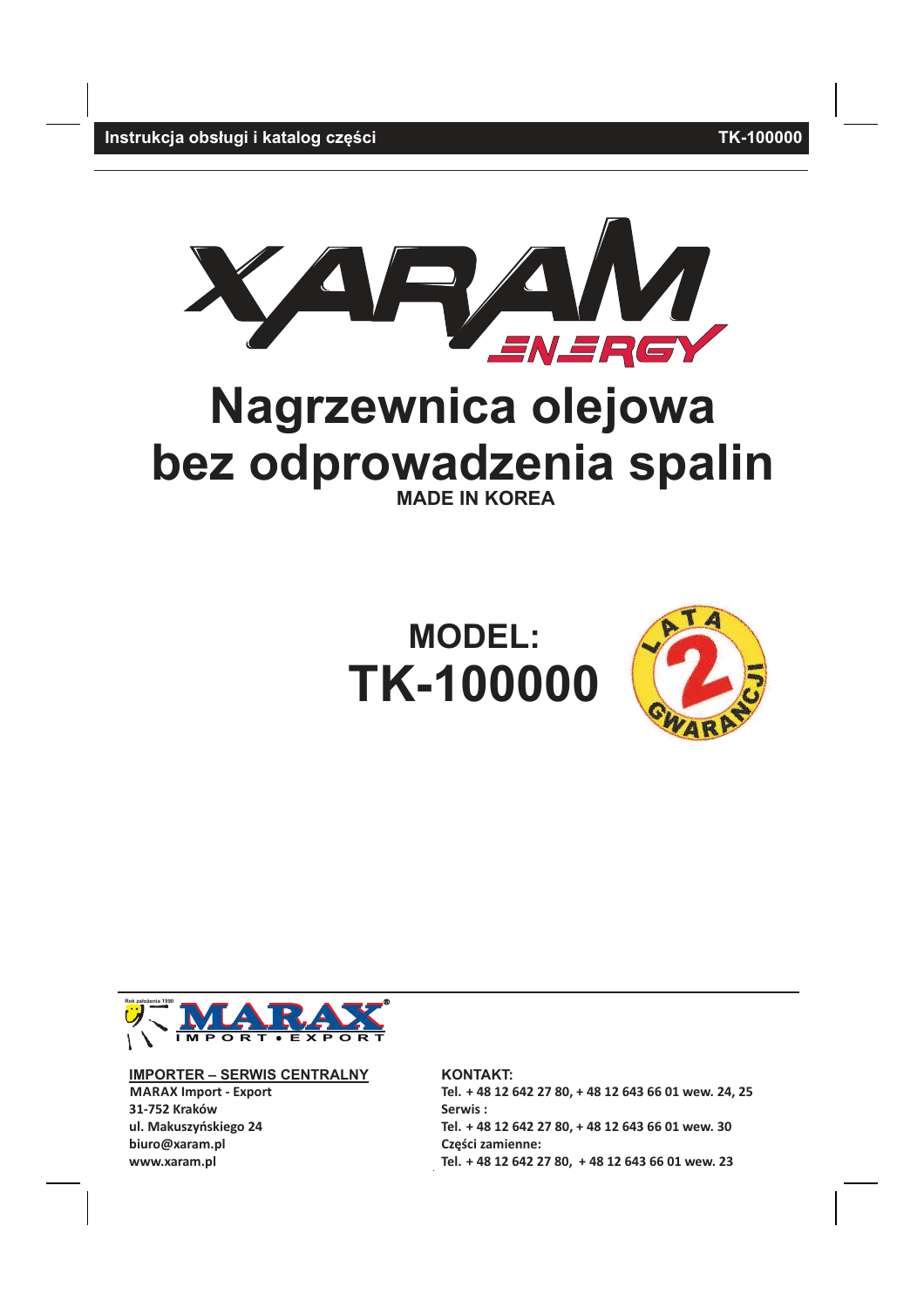**TK-100000** 

Instrukcja obsługi i katalog części



# Nagrzewnica olejowa bez odprowadzenia spalin **MADE IN KOREA**





**IMPORTER - SERWIS CENTRALNY MARAX Import - Export** 31-752 Kraków ul. Makuszyńskiego 24 biuro@xaram.pl www.xaram.pl

**KONTAKT:** Tel. + 48 12 642 27 80, + 48 12 643 66 01 wew. 24, 25 Serwis: Tel. + 48 12 642 27 80, + 48 12 643 66 01 wew. 30 Części zamienne: Tel. + 48 12 642 27 80, + 48 12 643 66 01 wew. 23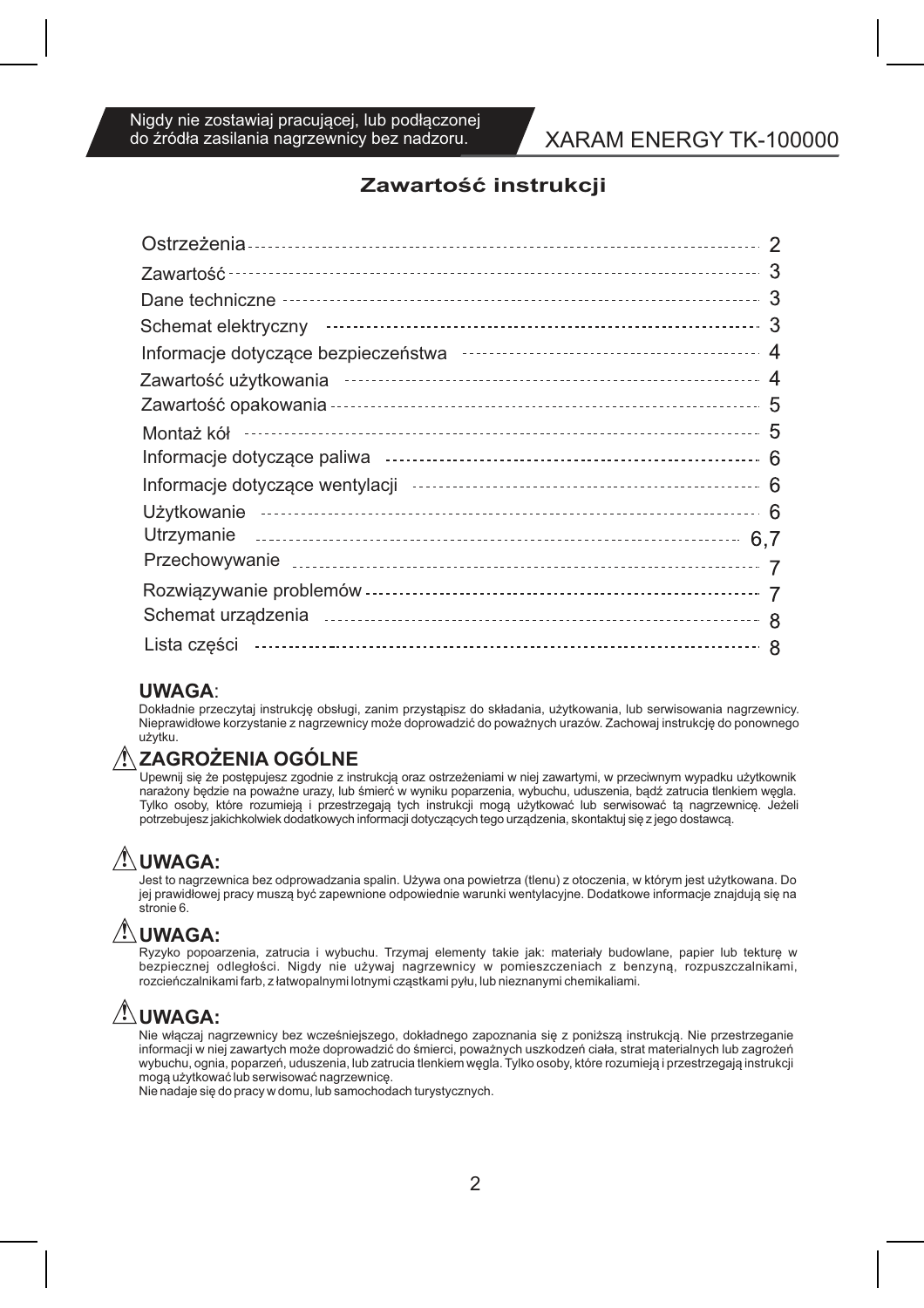# XARAM ENERGY TK-100000

# Zawartość instrukcji

### **UWAGA**

Dokładnie przeczytaj instrukcję obsługi, zanim przystąpisz do składania, użytkowania, lub serwisowania nagrzewnicy. Nieprawidłowe korzystanie z nagrzewnicy może doprowadzić do poważnych urazów. Zachowaj instrukcję do ponownego użytku.

## ∕!∖ ZAGROZENIA OGOLNE

Upewnij się że postępujesz zgodnie z instrukcją oraz ostrzeżeniami w niej zawartymi, w przeciwnym wypadku użytkownik naražony będzie na poważne urazy, lub śmierć w wyniku poparzenia, wybuchu, uduszenia, bądź zatrucia tlenkiem węgla. Tylko osoby, które rozumieją i przestrzegają tych instrukcji mogą użytkować lub serwisować tą nagrzewnicę. Jeżeli potrzebujesz jakichkolwiek dodatkowych informacji dotyczących tego urządzenia, skontaktuj się z jego dostawcą.

# **/!\UWAGA:**

Jest to nagrzewnica bez odprowadzania spalin. Używa ona powietrza (tlenu) z otoczenia, w którym jest użytkowana. Do jej prawidłowej pracy muszą być zapewnione odpowiednie warunki wentylacyjne. Dodatkowe informacje znajdują się na stronie 6.

# **/!\UWAGA:**

Ryzyko popoarzenia, zatrucia i wybuchu. Trzymaj elementy takie jak: materiały budowlane, papier lub tekturę w bezpiecznej odległości. Nigdy nie używaj nagrzewnicy w pomieszczeniach z benzyną, rozpuszczalnikami, rozcieńczalnikami farb, z łatwopalnymi lotnymi cząstkami pyłu, lub nieznanymi chemikaliami.

# <u>/!\ UWAGA:</u>

.<br>Nie włączaj nagrzewnicy bez wcześniejszego, dokładnego zapoznania się z poniższą instrukcją. Nie przestrzeganie<br>informacji w niej zawartych może doprowadzić do śmierci, poważnych uszkodzeń ciała, strat materialnych lub z wybuchu, ognia, poparzeń, uduszenia, lub zatrucia tlenkiem węgla. Tylko osoby, które rozumieją i przestrzegają instrukcji mogą użytkować lub serwisować nagrzewnicę.

Nie nadaje się do pracy w domu, lub samochodach turystycznych.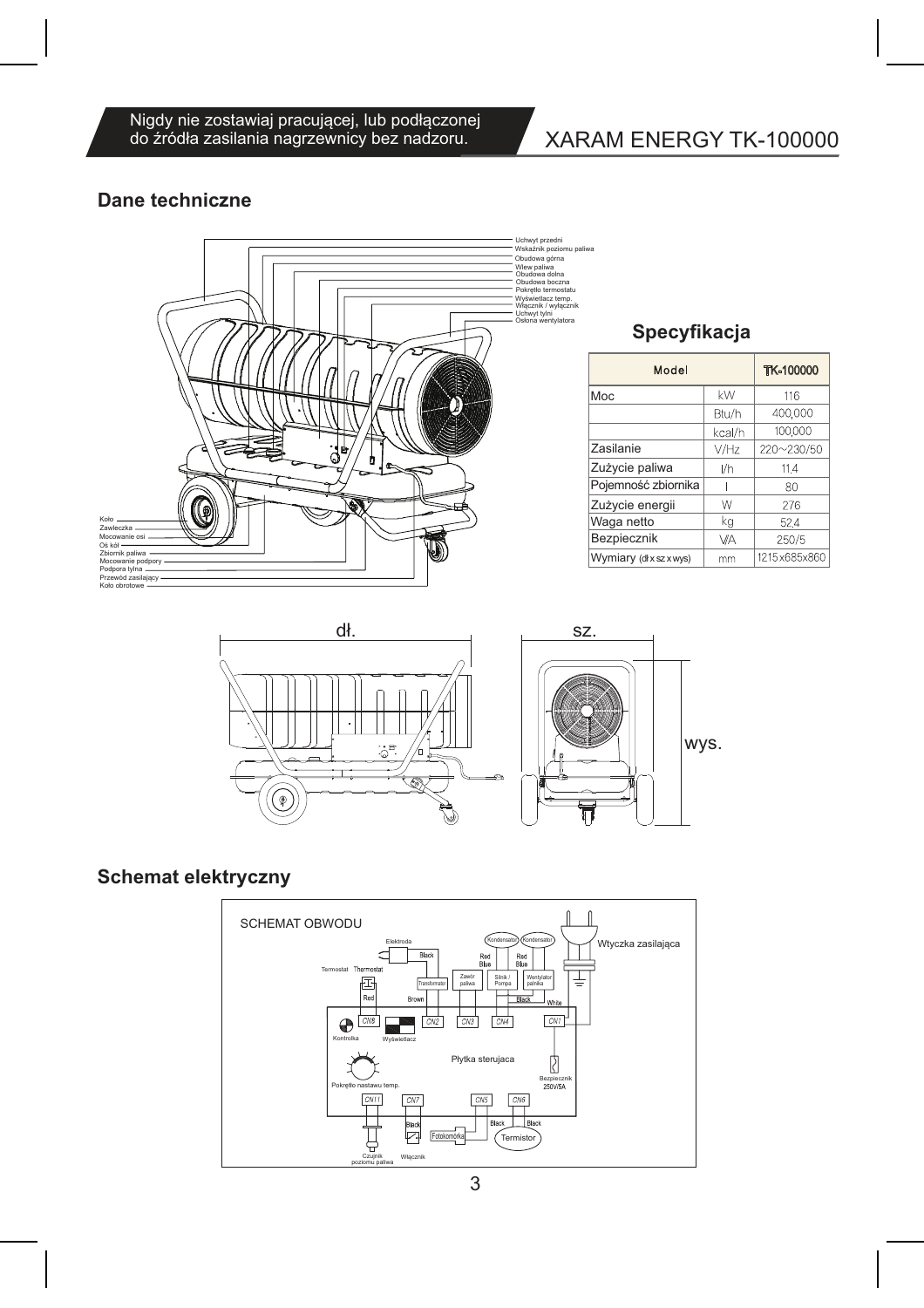Nigdy nie zostawiaj pracującej, lub podłączonej<br>do źródła zasilania nagrzewnicy bez nadzoru.

# XARAM ENERGY TK-100000

# **Dane techniczne**



# Specyfikacja

| Model               |        | <b>TK-100000</b> |
|---------------------|--------|------------------|
| Moc                 | kW     | 116              |
|                     | Btu/h  | 400,000          |
|                     | kcal/h | 100,000          |
| Zasilanie           | V/Hz   | 220~230/50       |
| Zużycie paliwa      | I/h    | 11.4             |
| Pojemność zbiornika |        | 80               |
| Zużycie energii     | W      | 276              |
| Waga netto          | kg     | 524              |
| Bezpiecznik         | VA     | 250/5            |
| Wymiary (dłxszxwys) | mm     | 1215x685x860     |



# **Schemat elektryczny**

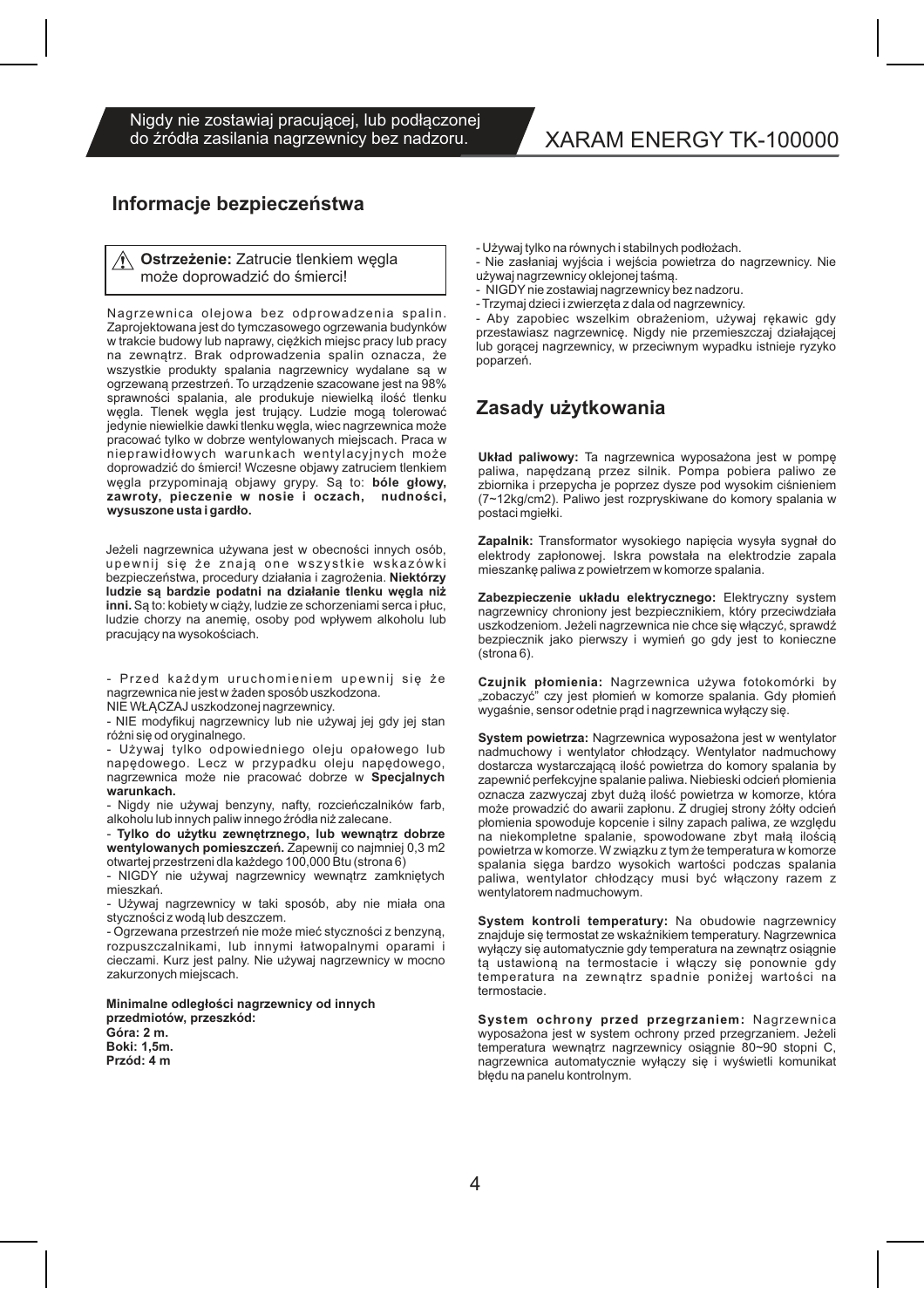Nigdy nie zostawiaj pracującej, lub podłączonej do źródła zasilania nagrzewnicy bez nadzoru.

# XARAM ENERGY TK-100000

### Informacje bezpieczeństwa

Ostrzeżenie: Zatrucie tlenkiem węgla może doprowadzić do śmierci!

Nagrzewnica olejowa bez odprowadzenia spalin. Zaprojektowana jest do tymczasowego ogrzewania budynków w trakcie budowy lub naprawy, ciężkich miejsc pracy lub pracy na zewnątrz. Brak odprowadzenia spalin oznacza, że wszystkie produkty spalania nagrzewnicy wydalane są w ogrzewaną przestrzeń. To urządzenie szacowane jest na 98% sprawności spalania, ale produkuje niewielką ilość tlenku węgla. Tlenek węgla jest trujący. Ludzie mogą tolerować jedynie niewielkie dawki tlenku węgla, wiec nagrzewnica może pracować tylko w dobrze wentylowanych miejscach. Praca w nieprawidłowych warunkach wentylacyjnych może doprowadzić do śmierci! Wczesne objawy zatruciem tlenkiem węgla przypominają objawy grypy. Są to: bóle głowy, zawroty, pieczenie w nosie i oczach, nudności. wysuszone usta i gardło.

Jeżeli nagrzewnica używana jest w obecności innych osób, upewnij się że znają one wszystkie wskazówki bezpieczeństwa, procedury działania i zagrożenia. Niektórzy ludzie są bardzie podatni na działanie tlenku węgla niż inni. Są to: kobiety w ciąży, ludzie ze schorzeniami serca i płuc, ludzie chorzy na anemię, osoby pod wpływem alkoholu lub pracujący na wysokościach.

- Przed każdym uruchomieniem upewnij się że nagrzewnica nie jest w żaden sposób uszkodzona.

NIE WŁACZAJ uszkodzonej nagrzewnicy.

- NIE modyfikuj nagrzewnicy lub nie używaj jej gdy jej stan różni się od oryginalnego.

Używaj tylko odpowiedniego oleju opałowego lub napedowego. Lecz w przypadku oleju napedowego, nagrzewnica może nie pracować dobrze w Specjalnych warunkach.

- Nigdy nie używaj benzyny, nafty, rozcieńczalników farb, alkoholu lub innych paliw innego źródła niż zalecane.

- Tylko do użytku zewnętrznego, lub wewnątrz dobrze wentylowanych pomieszczeń. Zapewnij co najmniej 0,3 m2 otwartej przestrzeni dla każdego 100,000 Btu (strona 6)

- NIGDY nie używaj nagrzewnicy wewnątrz zamkniętych mieszkań.

- Używaj nagrzewnicy w taki sposób, aby nie miała ona styczności z wodą lub deszczem.

- Ogrzewana przestrzeń nie może mieć styczności z benzyną, rozpuszczalnikami, lub innymi łatwopalnymi oparami i cieczami. Kurz jest palny. Nie używaj nagrzewnicy w mocno zakurzonych miejscach.

Minimalne odległości nagrzewnicy od innych przedmiotów, przeszkód: Góra: 2 m. **Boki: 1,5m.** Przód: 4 m

- Używaj tylko na równych i stabilnych podłożach.

- Nie zasłaniaj wyjścia i wejścia powietrza do nagrzewnicy. Nie używaj nagrzewnicy oklejonej taśmą.

- NIGDY nie zostawiaj nagrzewnicy bez nadzoru.

- Trzymaj dzieci i zwierzęta z dala od nagrzewnicy.

- Aby zapobiec wszelkim obrażeniom, używaj rekawic gdy przestawiasz nagrzewnicę. Nigdy nie przemieszczaj działającej lub gorącej nagrzewnicy, w przeciwnym wypadku istnieje ryzyko poparzeń.

### Zasady użytkowania

Układ paliwowy: Ta nagrzewnica wyposażona jest w pompę paliwa. napedzana przez silnik. Pompa pobiera paliwo ze zbiornika i przepycha je poprzez dysze pod wysokim ciśnieniem (7~12kg/cm2). Paliwo jest rozpryskiwane do komory spalania w postaci mgiełki.

Zapalnik: Transformator wysokiego napięcia wysyła sygnał do elektrody zapłonowej. Iskra powstała na elektrodzie zapala mieszankę paliwa z powietrzem w komorze spalania.

Zabezpieczenie układu elektrycznego: Elektryczny system nagrzewnicy chroniony jest bezpiecznikiem, który przeciwdziała uszkodzeniom. Jeżeli nagrzewnica nie chce się włączyć, sprawdź bezpiecznik jako pierwszy i wymień go gdy jest to konieczne  $(\text{strona } 6)$ .

Czujnik płomienia: Nagrzewnica używa fotokomórki by "zobaczyć" czy jest płomień w komorze spalania. Gdy płomień wygaśnie, sensor odetnie prąd i nagrzewnica wyłączy się.

System powietrza: Nagrzewnica wyposażona jest w wentylator nadmuchowy i wentylator chłodzący. Wentylator nadmuchowy dostarcza wystarczającą ilość powietrza do komory spalania by zapewnić perfekcyjne spalanie paliwa. Niebieski odcień płomienia oznacza zazwyczaj zbyt dużą ilość powietrza w komorze, która<br>może prowadzić do awarii zapłonu. Z drugiej strony żółty odcień płomienia spowoduje kopcenie i silny zapach paliwa, ze względu na niekompletne spalanie, spowodowane zbyt małą ilością powietrza w komorze. W związku z tym że temperatura w komorze spalania sięga bardzo wysokich wartości podczas spalania paliwa, wentylator chłodzący musi być włączony razem z wentylatorem nadmuchowym.

System kontroli temperatury: Na obudowie nagrzewnicy znajduje się termostat ze wskaźnikiem temperatury. Nagrzewnica wyłączy się automatycznie gdy temperatura na zewnątrz osiągnie ta ustawiona na termostacie i włączy się ponownie gdy temperatura na zewnątrz spadnie poniżej wartości na termostacie.

System ochrony przed przegrzaniem: Nagrzewnica wyposażona jest w system ochrony przed przegrzaniem. Jeżeli temperatura wewnątrz nagrzewnicy osiągnie 80~90 stopni C, nagrzewnica automatycznie wyłączy się i wyświetli komunikat błędu na panelu kontrolnym.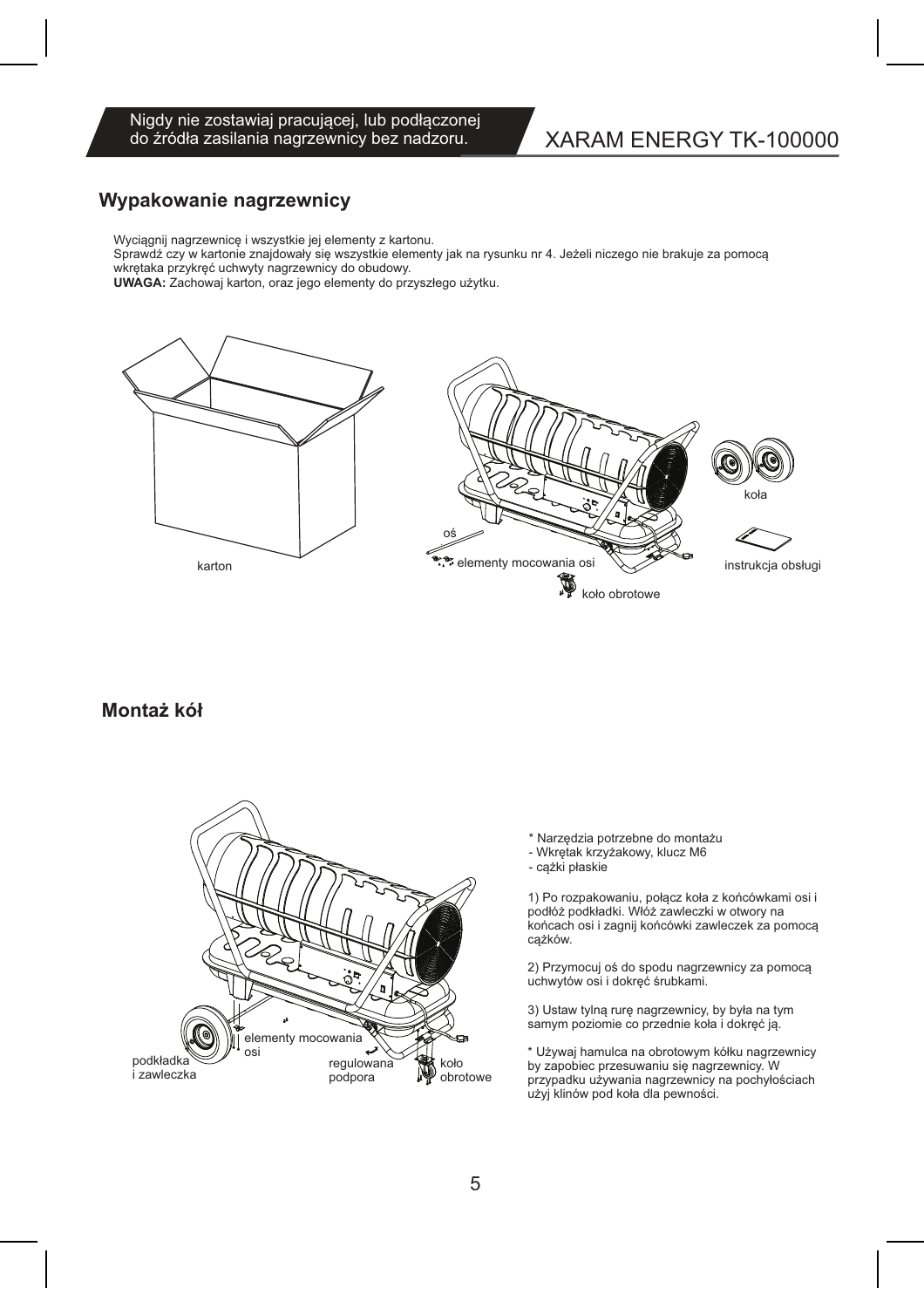#### Nigdy nie zostawiaj pracującej, lub podłączonej do źródła zasilania nagrzewnicy bez nadzoru.

# XARAM ENERGY TK-100000

# Wypakowanie nagrzewnicy

Wyciągnij nagrzewnicę i wszystkie jej elementy z kartonu.

Sprawdź czy w kartonie znajdowały się wszystkie elementy jak na rysunku nr 4. Jeżeli niczego nie brakuje za pomocą wkrętaka przykręć uchwyty nagrzewnicy do obudowy.

UWAGA: Zachowaj karton, oraz jego elementy do przyszłego użytku.



### Montaż kół



- \* Narzędzia potrzebne do montażu
- Wkrętak krzyżakowy, klucz M6
- cążki płaskie

1) Po rozpakowaniu, połącz koła z końcówkami osi i podłóż podkładki. Włóż zawleczki w otwory na końcach osi i zagnij końcówki zawleczek za pomocą cążków.

2) Przymocuj oś do spodu nagrzewnicy za pomocą uchwytów osi i dokręć śrubkami.

3) Ustaw tylną rurę nagrzewnicy, by była na tym samym poziomie co przednie koła i dokręć ją.

\* Używaj hamulca na obrotowym kółku nagrzewnicy by zapobiec przesuwaniu się nagrzewnicy. W przypadku używania nagrzewnicy na pochyłościach użyj klinów pod koła dla pewności.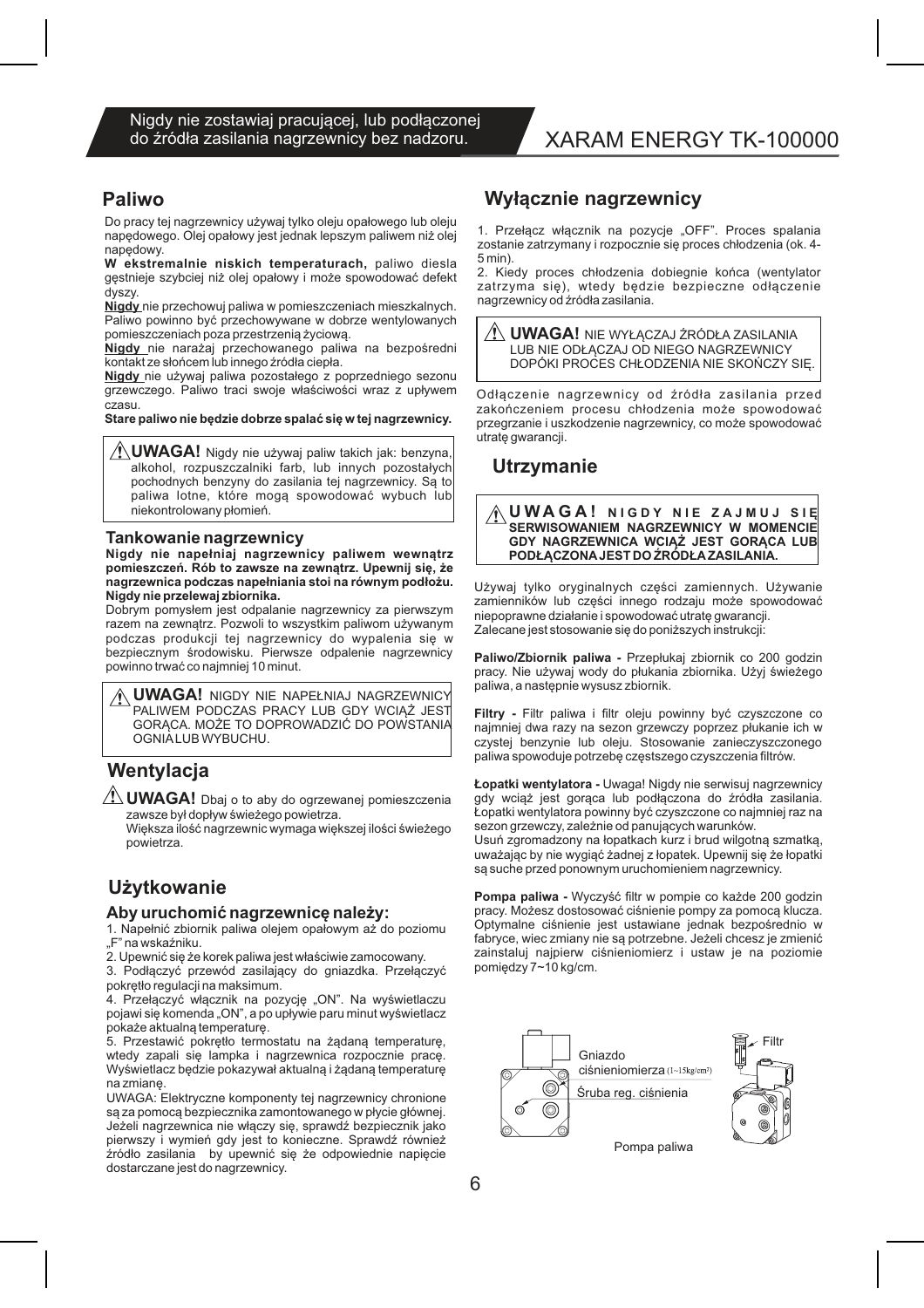#### **Paliwo**

Do pracy tej nagrzewnicy używaj tylko oleju opałowego lub oleju napedowego. Olej opałowy jest jednak lepszym paliwem niż olej napedowy.

W ekstremalnie niskich temperaturach, paliwo diesla gęstnieje szybciej niż olej opałowy i może spowodować defekt dvszv.

Nigdy nie przechowuj paliwa w pomieszczeniach mieszkalnych. Paliwo powinno być przechowywane w dobrze wentylowanych pomieszczeniach poza przestrzenią życiową.

Nigdy nie narażaj przechowanego paliwa na bezpośredni kontakt ze słońcem lub innego źródła ciepła.

Nigdy nie używaj paliwa pozostałego z poprzedniego sezonu grzewczego. Paliwo traci swoje właściwości wraz z upływem czasu.

Stare paliwo nie będzie dobrze spalać się w tej nagrzewnicy.

 $\bigwedge'$ **UWAGA!** Nigdy nie używaj paliw takich jak: benzyna, alkohol, rozpuszczalniki farb, lub innych pozostałych pochodnych benzyny do zasilania tej nagrzewnicy. Są to paliwa lotne, które mogą spowodować wybuch lub niekontrolowany płomień.

#### Tankowanie nagrzewnicy

Nigdy nie napełniaj nagrzewnicy paliwem wewnątrz pomieszczeń. Rób to zawsze na zewnątrz. Upewnij się, że nagrzewnica podczas napełniania stoi na równym podłożu. Nigdy nie przelewaj zbiornika.

Dobrym pomysłem jest odpalanie nagrzewnicy za pierwszym razem na zewnątrz. Pozwoli to wszystkim paliwom używanym podczas produkcji tej nagrzewnicy do wypalenia się w bezpiecznym środowisku. Pierwsze odpalenie nagrzewnicy powinno trwać co najmniej 10 minut.

**UWAGA!** NIGDY NIE NAPEŁNIAJ NAGRZEWNICY PALIWEM PODCZAS PRACY LUB GDY WCIAŻ JEST GORACA. MOŻE TO DOPROWADZIĆ DO POWSTANIA OGNIALUB WYBUCHU.

### Wentylacja

 $\sqrt{!}$  UWAGA! Dbaj o to aby do ogrzewanej pomieszczenia zawsze był dopływ świeżego powietrza.

Wieksza ilość nagrzewnic wymaga wiekszej ilości świeżego powietrza.

### **Użytkowanie**

#### Aby uruchomić nagrzewnicę należy:

1. Napełnić zbiornik paliwa olejem opałowym aż do poziomu "F" na wskaźniku.

2. Upewnić się że korek paliwa jest właściwie zamocowany.

3. Podłączyć przewód zasilający do gniazdka. Przełączyć pokrętło regulacji na maksimum.

4. Przełączyć włącznik na pozycję "ON". Na wyświetlaczu pojawi się komenda "ON", a po upływie paru minut wyświetlacz pokaże aktualną temperaturę.

5. Przestawić pokrętło termostatu na żądaną temperaturę, wtedy zapali się lampka i nagrzewnica rozpocznie prace. Wyświetlacz będzie pokazywał aktualną i żądaną temperaturę na zmiane.

UWAGA: Elektryczne komponenty tej nagrzewnicy chronione są za pomocą bezpiecznika zamontowanego w płycie głównej. Jeżeli nagrzewnica nie włączy się, sprawdź bezpiecznik jako pierwszy i wymień gdy jest to konieczne. Sprawdź również źródło zasilania by upewnić się że odpowiednie napięcie dostarczane jest do nagrzewnicy.

### **Wyłacznie nagrzewnicy**

1. Przełącz włącznik na pozycje "OFF". Proces spalania zostanie zatrzymany i rozpocznie się proces chłodzenia (ok. 4- $5$  min).

2. Kiedy proces chłodzenia dobiegnie końca (wentylator zatrzyma się), wtedy będzie bezpieczne odłączenie nagrzewnicy od źródła zasilania.

 $\sqrt{2}$  **UWAGA!** NIE WYŁĄCZAJ ŹRÓDŁA ZASILANIA LUB NIE ODŁĄCZAJ OD NIEGO NAGRZEWNICY DOPÓKI PROCES CHŁODZENIA NIE SKOŃCZY SIĘ.

Odłączenie nagrzewnicy od źródła zasilania przed zakończeniem procesu chłodzenia może spowodować przegrzanie i uszkodzenie nagrzewnicy, co może spowodować utrate qwarancji.

### **Utrzymanie**

AUWAGA! NIGDY NIE ZAJMUJ SIE SERWISOWANIEM NAGRZEWNICY W MOMENCIE GDY NAGRZEWNICA WCIĄŻ JEST GORĄCA LUB PODŁĄCZONA JEST DO ŹRÓDŁA ZASILANIA.

Używaj tylko oryginalnych części zamiennych. Używanie zamienników lub części innego rodzaju może spowodować niepoprawne działanie i spowodować utrate gwarancji. Zalecane jest stosowanie się do poniższych instrukcji:

Paliwo/Zbiornik paliwa - Przepłukaj zbiornik co 200 godzin pracy. Nie używaj wody do płukania zbiornika. Użyj świeżego paliwa, a następnie wysusz zbiornik.

Filtry - Filtr paliwa i filtr oleju powinny być czyszczone co najmniej dwa razy na sezon grzewczy poprzez płukanie ich w<br>czystej benzynie lub oleju. Stosowanie zanieczyszczonego paliwa spowoduje potrzebę częstszego czyszczenia filtrów.

Łopatki wentylatora - Uwaga! Nigdy nie serwisuj nagrzewnicy gdy wciąż jest gorąca lub podłączona do źródła zasilania. čopatki wentylatora powinny być czyszczone co najmniej raz na sezon grzewczy, zależnie od panujących warunków.

Usuń zgromadzony na łopatkach kurz i brud wilgotną szmatką, uważając by nie wygiąć żadnej z łopatek. Upewnij się że łopatki sa suche przed ponownym uruchomieniem nagrzewnicy.

Pompa paliwa - Wyczyść filtr w pompie co każde 200 godzin pracy. Możesz dostosować ciśnienie pompy za pomocą klucza. Optymalne ciśnienie jest ustawiane jednak bezpośrednio w fabryce, wiec zmiany nie są potrzebne. Jeżeli chcesz je zmienić zainstaluj najpierw ciśnieniomierz i ustaw je na poziomie pomiedzy 7~10 kg/cm.

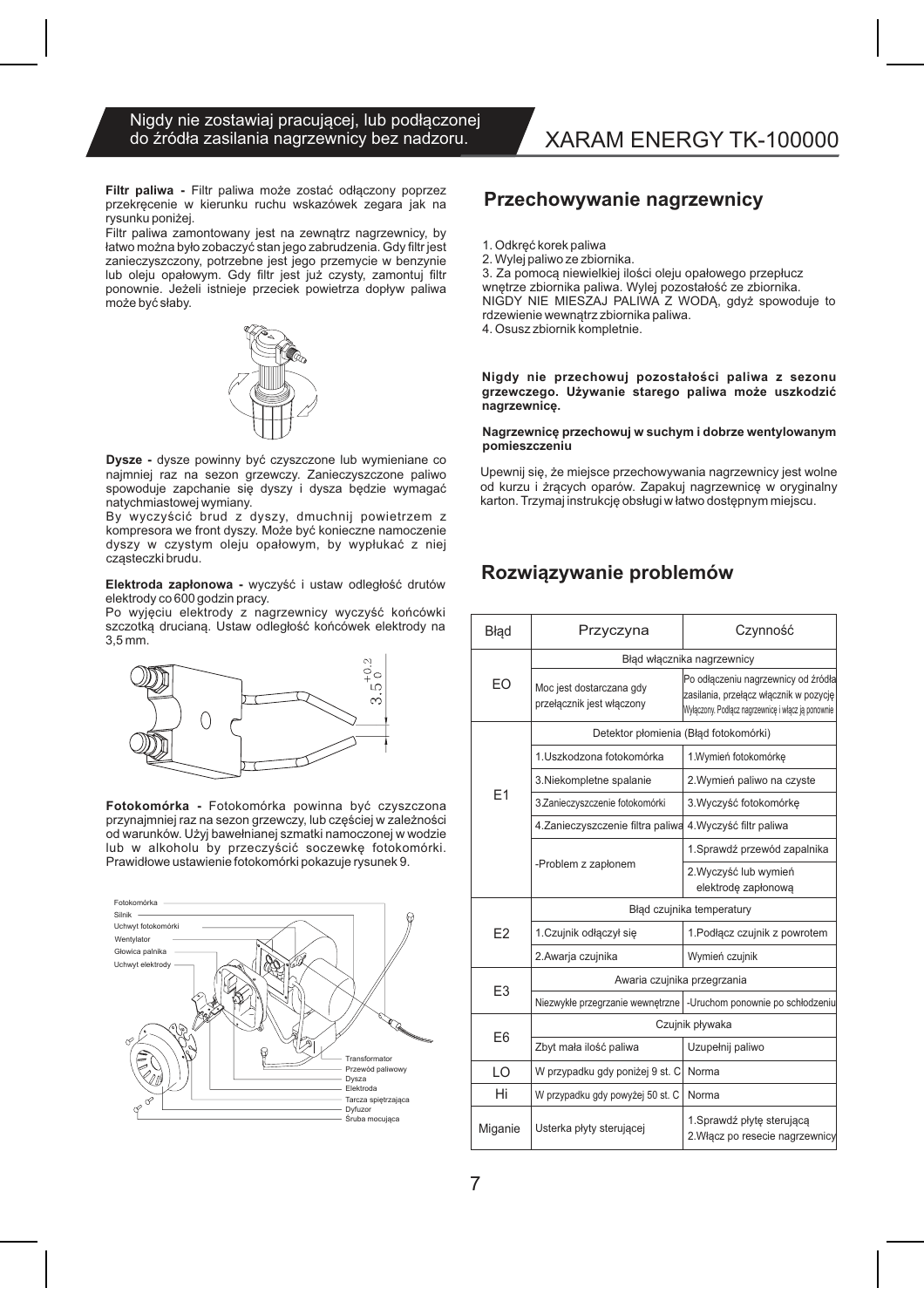#### Nigdy nie zostawiaj pracującej, lub podłączonej do źródła zasilania nagrzewnicy bez nadzoru.

Filtr paliwa - Filtr paliwa może zostać odłączony poprzez przekręcenie w kierunku ruchu wskazówek zegara jak na rysunku poniżej.

Filtr paliwa zamontowany jest na zewnątrz nagrzewnicy, by łatwo można było zobaczyć stan jego zabrudzenia. Gdy filtr jest zanieczyszczony, potrzebne jest jego przemycie w benzynie lub oleju opałowym. Gdy filtr jest już czysty, zamontuj filtr ponownie. Jeżeli istnieje przeciek powietrza dopływ paliwa może być słaby.



Dysze - dysze powinny być czyszczone lub wymieniane co najmniej raz na sezon grzewczy. Zanieczyszczone paliwo spowoduje zapchanie się dyszy i dysza będzie wymagać natychmiastowej wymiany.

By wyczyścić brud z dyszy, dmuchnij powietrzem z kompresora we front dyszy. Może być konieczne namoczenie dyszy w czystym oleju opałowym, by wypłukać z niej czasteczki brudu.

Elektroda zapłonowa - wyczyść i ustaw odległość drutów elektrody co 600 godzin pracy.

Po wyjęciu elektrody z nagrzewnicy wyczyść końcówki szczotką drucianą. Ustaw odległość końcówek elektrody na  $3.5$  mm.



Fotokomórka - Fotokomórka powinna być czyszczona przynajmniej raz na sezon grzewczy, lub częściej w zależności od warunków. Użyj bawełnianej szmatki namoczonej w wodzie lub w alkoholu by przeczyścić soczewkę fotokomórki. Prawidłowe ustawienie fotokomórki pokazuje rysunek 9.



# XARAM ENERGY TK-100000

### Przechowywanie nagrzewnicy

- 1. Odkreć korek paliwa
- 2. Wylej paliwo ze zbiornika.

3. Za pomocą niewielkiej ilości oleju opałowego przepłucz wnętrze zbiornika paliwa. Wylej pozostałość ze zbiornika. NIGDY NIE MIESZAJ PALIWA Z WODĄ, gdyż spowoduje to rdzewienie wewnątrz zbiornika paliwa.

4. Osusz zbiornik kompletnie.

#### Nigdy nie przechowuj pozostałości paliwa z sezonu grzewczego. Używanie starego paliwa może uszkodzić nagrzewnice.

#### Nagrzewnicę przechowuj w suchym i dobrze wentylowanym pomieszczeniu

Upewnij się, że miejsce przechowywania nagrzewnicy jest wolne od kurzu i żrących oparów. Zapakuj nagrzewnicę w oryginalny karton. Trzymaj instrukcję obsługi w łatwo dostępnym miejscu.

### Rozwiązywanie problemów

| Błąd           | Przyczyna                                                 | Czynność                                                                                                                            |  |
|----------------|-----------------------------------------------------------|-------------------------------------------------------------------------------------------------------------------------------------|--|
|                | Błąd włącznika nagrzewnicy                                |                                                                                                                                     |  |
| EO             | Moc jest dostarczana gdy<br>przełącznik jest włączony     | Po odłączeniu nagrzewnicy od źródła<br>zasilania, przełącz włącznik w pozycję<br>Wyłączony. Podłącz nagrzewnicę i włącz ją ponownie |  |
|                | Detektor płomienia (Błąd fotokomórki)                     |                                                                                                                                     |  |
| F <sub>1</sub> | 1. Uszkodzona fotokomórka                                 | 1. Wymień fotokomórkę                                                                                                               |  |
|                | 3. Niekompletne spalanie                                  | 2. Wymień paliwo na czyste                                                                                                          |  |
|                | 3.Zanieczyszczenie fotokomórki                            | 3. Wyczyść fotokomórke                                                                                                              |  |
|                | 4. Zanieczyszczenie filtra paliwa 4. Wyczyść filtr paliwa |                                                                                                                                     |  |
|                |                                                           | 1. Sprawdź przewód zapalnika                                                                                                        |  |
|                | -Problem z zapłonem                                       | 2. Wyczyść lub wymień<br>elektrodę zapłonową                                                                                        |  |
| F <sub>2</sub> | Błąd czujnika temperatury                                 |                                                                                                                                     |  |
|                | 1. Czujnik odłączył się                                   | 1. Podłącz czujnik z powrotem                                                                                                       |  |
|                | 2.Awarja czujnika                                         | Wymień czujnik                                                                                                                      |  |
| E <sub>3</sub> | Awaria czujnika przegrzania                               |                                                                                                                                     |  |
|                |                                                           | Niezwykłe przegrzanie wewnętrzne   - Uruchom ponownie po schłodzeniu                                                                |  |
| E6             | Czujnik pływaka                                           |                                                                                                                                     |  |
|                | Zbyt mała ilość paliwa                                    | Uzupełnij paliwo                                                                                                                    |  |
| LO             | W przypadku gdy poniżej 9 st. C                           | Norma                                                                                                                               |  |
| Hi             | W przypadku gdy powyżej 50 st. C                          | Norma                                                                                                                               |  |
| Miganie        | Usterka płyty sterującej                                  | 1. Sprawdź płytę sterującą<br>2. Włącz po resecie nagrzewnicy                                                                       |  |